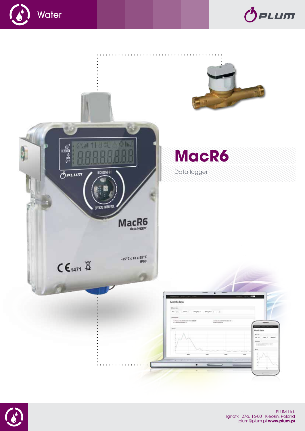





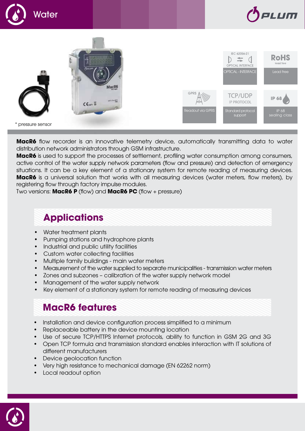





**MacR6** flow recorder is an innovative telemetry device, automatically transmitting data to water distribution network administrators through GSM infrastructure.

**MacR6** is used to support the processes of settlement, profiling water consumption among consumers, active control of the water supply network parameters (flow and pressure) and detection of emergency situations. It can be a key element of a stationary system for remote reading of measuring devices. **MacR6** is a universal solution that works with all measuring devices (water meters, flow meters), by registering flow through factory impulse modules.

Two versions: **MacR6 P** (flow) and **MacR6 PC** (flow + pressure)

# **Applications**

- Water treatment plants
- **Pumping stations and hydrophore plants**
- **Industrial and public utility facilities**
- **Custom water collecting facilities**
- Multiple family buildings main water meters
- Measurement of the water supplied to separate municipalities transmission water meters
- Zones and subzones calibration of the water supply network model
- Management of the water supply network
- Key element of a stationary system for remote reading of measuring devices

# **MacR6 features**

- Installation and device configuration process simplified to a minimum
- Replaceable battery in the device mounting location
- Use of secure TCP/HTTPS Internet protocols, ability to function in GSM 2G and 3G
- Open TCP formula and transmission standard enables interaction with IT solutions of different manufacturers
- **Device geolocation function**
- Very high resistance to mechanical damage (EN 62262 norm)
- **Local readout option**

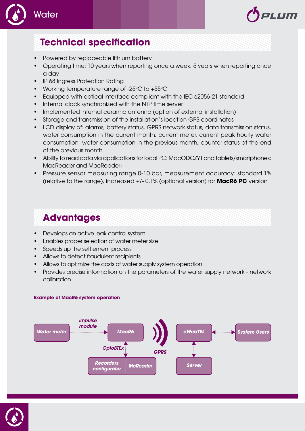



- Powered by replaceable lithium battery
- • Operating time: 10 years when reporting once a week, 5 years when reporting once a day

al Um

- **IP 68 Ingress Protection Rating**
- Working temperature range of -25 $\degree$ C to +55 $\degree$ C
- Equipped with optical interface compliant with the IEC 62056-21 standard
- Internal clock synchronized with the NTP time server
- Implemented internal ceramic antenna (option of external installation)
- Storage and transmission of the installation's location GPS coordinates
- LCD display of: alarms, battery status, GPRS network status, data transmission status, water consumption in the current month, current meter, current peak hourly water consumption, water consumption in the previous month, counter status at the end of the previous month
- • Ability to read data via applications for local PC: MacODCZYT and tablets/smartphones: MacReader and MacReader+
- Pressure sensor measuring range 0-10 bar, measurement accuracy: standard 1% (relative to the range), increased +/- 0.1% (optional version) for **MacR6 PC** version

# **Advantages**

- **Develops an active leak control system**
- **Enables proper selection of water meter size**
- Speeds up the settlement process
- Allows to detect fraudulent recipients
- Allows to optimize the costs of water supply system operation
- Provides precise information on the parameters of the water supply network network calibration

## **Example of MacR6 system operation**



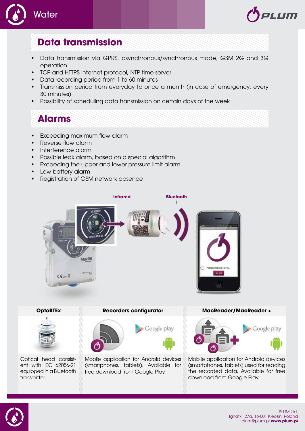



# **Data transmission**

- Data transmission via GPRS, asynchronous/synchronous mode, GSM 2G and 3G operation
- • TCP and HTTPS Internet protocol, NTP time server
- Data recording period from 1 to 60 minutes
- Transmission period from everyday to once a month (in case of emergency, every 30 minutes)
- Possibility of scheduling data transmission on certain days of the week

# **Alarms**

- Exceeding maximum flow alarm
- Reverse flow alarm
- Interference alarm
- • Possible leak alarm, based on a special algorithm
- Exceeding the upper and lower pressure limit alarm
- Low battery alarm
- • Registration of GSM network absence





Optical head consistent with IEC 62056-21 equipped in a Bluetooth transmitter.

### **OptoBTEx Recorders configurator MacReader/MacReader +**

Google play



Mobile application for Android devices (smartphones, tablets). Available for free download from Google Play.





Mobile application for Android devices (smartphones, tablets) used for reading the recorded data. Available for free download from Google Play.

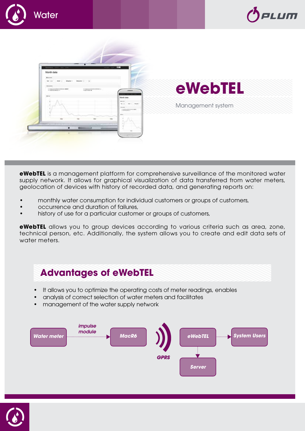

**eWebTEL** is a management platform for comprehensive surveillance of the monitored water supply network. It allows for graphical visualization of data transferred from water meters, geolocation of devices with history of recorded data, and generating reports on:

- monthly water consumption for individual customers or groups of customers,
- • occurrence and duration of failures,
- history of use for a particular customer or groups of customers,

**eWebTEL** allows you to group devices according to various criteria such as area, zone, technical person, etc. Additionally, the system allows you to create and edit data sets of water meters.

## **Advantages of eWebTEL**

- It allows you to optimize the operating costs of meter readings, enables
- analysis of correct selection of water meters and facilitates
- management of the water supply network